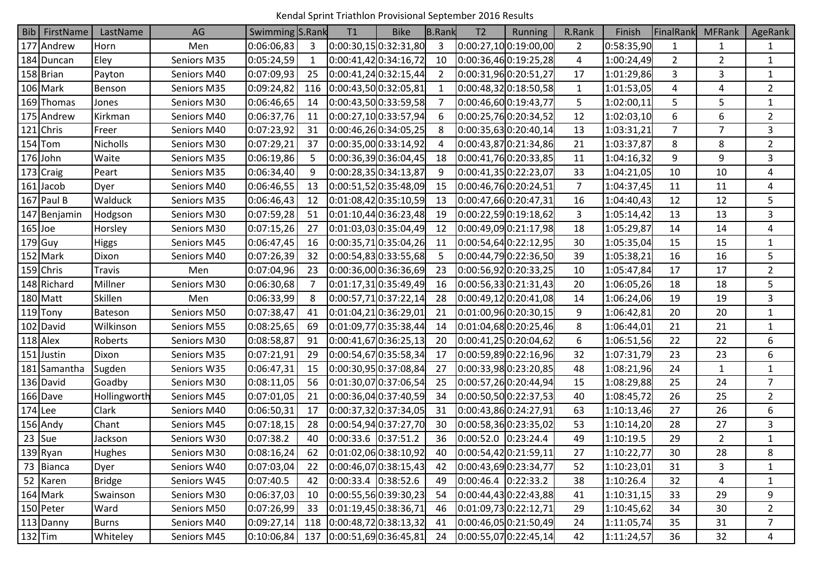Kendal Sprint Triathlon Provisional September 2016 Results

| Bib   FirstName | LastName        | AG          | Swimming S.Rank |                | T1                    | <b>Bike</b>               | <b>B.Rank</b> | T <sub>2</sub>        | <b>Running</b>        | R.Rank         | Finish     | FinalRank      | <b>MFRank</b>  | <b>AgeRank</b> |
|-----------------|-----------------|-------------|-----------------|----------------|-----------------------|---------------------------|---------------|-----------------------|-----------------------|----------------|------------|----------------|----------------|----------------|
| 177 Andrew      | Horn            | Men         | 0:06:06,83      | 3              |                       | 0:00:30,15 0:32:31,80     | 3             |                       | 0:00:27,100:19:00,00  | $\overline{2}$ | 0:58:35,90 | 1              | 1              | $\mathbf{1}$   |
| 184 Duncan      | Eley            | Seniors M35 | 0:05:24,59      | 1              |                       | 0:00:41,42 0:34:16,72     | 10            |                       | 0:00:36,460:19:25,28  | 4              | 1:00:24,49 | $\overline{2}$ | $\overline{2}$ | $\mathbf{1}$   |
| 158 Brian       | Payton          | Seniors M40 | 0:07:09,93      | 25             |                       | 0:00:41,24 0:32:15,44     | 2             |                       | 0:00:31,960:20:51,27  | 17             | 1:01:29,86 | 3              | 3              | $\mathbf{1}$   |
| 106 Mark        | Benson          | Seniors M35 | 0:09:24,82      | 116            |                       | 0:00:43,500:32:05,81      | -1            |                       | 0:00:48,320:18:50,58  | $\mathbf{1}$   | 1:01:53,05 | 4              | 4              | $\overline{2}$ |
| 169 Thomas      | Jones           | Seniors M30 | 0:06:46,65      | 14             |                       | 0:00:43,50 0:33:59,58     | -7            |                       | 0:00:46,60 0:19:43,77 | 5              | 1:02:00,11 | 5              | 5              | $\mathbf{1}$   |
| 175 Andrew      | Kirkman         | Seniors M40 | 0:06:37,76      | 11             |                       | 0:00:27,10 0:33:57,94     | 6             |                       | 0:00:25,760:20:34,52  | 12             | 1:02:03,10 | 6              | 6              | $\overline{2}$ |
| 121 Chris       | Freer           | Seniors M40 | 0:07:23,92      | 31             |                       | 0:00:46,26 0:34:05,25     | 8             |                       | 0:00:35,630:20:40,14  | 13             | 1:03:31,21 | $\overline{7}$ | $\overline{7}$ | 3              |
| $154$ Tom       | <b>Nicholls</b> | Seniors M30 | 0:07:29,21      | 37             |                       | 0:00:35,00 0:33:14,92     | 4             |                       | 0:00:43,870:21:34,86  | 21             | 1:03:37,87 | 8              | 8              | $\overline{2}$ |
| 176 John        | Waite           | Seniors M35 | 0:06:19,86      | 5              |                       | 0:00:36,39 0:36:04,45     | 18            |                       | 0:00:41,760:20:33,85  | 11             | 1:04:16,32 | 9              | 9              | 3              |
| 173 Craig       | Peart           | Seniors M35 | 0:06:34,40      | 9              |                       | 0:00:28,35 0:34:13,87     | 9             |                       | 0:00:41,35 0:22:23,07 | 33             | 1:04:21,05 | 10             | 10             | 4              |
| 161 Jacob       | Dyer            | Seniors M40 | 0:06:46,55      | 13             |                       | 0:00:51,52 0:35:48,09     | 15            |                       | 0:00:46,760:20:24,51  | $\overline{7}$ | 1:04:37,45 | 11             | 11             | 4              |
| $167$ Paul B    | Walduck         | Seniors M35 | 0:06:46,43      | 12             |                       | 0:01:08,42 0:35:10,59     | 13            |                       | 0:00:47,660:20:47,31  | 16             | 1:04:40,43 | 12             | 12             | 5              |
| 147 Benjamin    | Hodgson         | Seniors M30 | 0:07:59,28      | 51             |                       | 0:01:10,44 0:36:23,48     | 19            |                       | 0:00:22,590:19:18,62  | 3              | 1:05:14,42 | 13             | 13             | 3              |
| $165$ Joe       | Horsley         | Seniors M30 | 0:07:15,26      | 27             |                       | 0:01:03,03 0:35:04,49     | 12            |                       | 0:00:49,090:21:17,98  | 18             | 1:05:29,87 | 14             | 14             | 4              |
| $179$ Guy       | <b>Higgs</b>    | Seniors M45 | 0:06:47,45      | 16             |                       | 0:00:35,710:35:04,26      | 11            |                       | 0:00:54,640:22:12,95  | 30             | 1:05:35,04 | 15             | 15             | 1              |
| 152 Mark        | Dixon           | Seniors M40 | 0:07:26,39      | 32             |                       | 0:00:54,83 0:33:55,68     | -5            |                       | 0:00:44,790:22:36,50  | 39             | 1:05:38,21 | 16             | 16             | 5              |
| 159 Chris       | Travis          | Men         | 0:07:04,96      | 23             |                       | 0:00:36,00 0:36:36,69     | 23            |                       | 0:00:56,920:20:33,25  | 10             | 1:05:47,84 | 17             | 17             | $\overline{2}$ |
| 148 Richard     | Millner         | Seniors M30 | 0:06:30,68      | $\overline{7}$ |                       | 0:01:17,31 0:35:49,49     | 16            |                       | 0:00:56,330:21:31,43  | 20             | 1:06:05,26 | 18             | 18             | 5              |
| 180 Matt        | Skillen         | Men         | 0:06:33,99      | 8              |                       | 0:00:57,71 0:37:22,14     | 28            |                       | 0:00:49,120:20:41,08  | 14             | 1:06:24,06 | 19             | 19             | 3              |
| 119 Tony        | Bateson         | Seniors M50 | 0:07:38,47      | 41             | 0:01:04,210:36:29,01  |                           | 21            |                       | 0:01:00,960:20:30,15  | 9              | 1:06:42,81 | 20             | 20             | $\mathbf{1}$   |
| 102 David       | Wilkinson       | Seniors M55 | 0:08:25,65      | 69             |                       | 0:01:09,770:35:38,44      | 14            |                       | 0:01:04,680:20:25,46  | 8              | 1:06:44,01 | 21             | 21             | $\mathbf{1}$   |
| $118$ Alex      | Roberts         | Seniors M30 | 0:08:58,87      | 91             |                       | 0:00:41,67 0:36:25,13     | 20            |                       | 0:00:41,250:20:04,62  | 6              | 1:06:51,56 | 22             | 22             | 6              |
| 151 Justin      | Dixon           | Seniors M35 | 0:07:21,91      | 29             |                       | 0:00:54,67 0:35:58,34     | 17            |                       | 0:00:59,890:22:16,96  | 32             | 1:07:31,79 | 23             | 23             | 6              |
| 181 Samantha    | Sugden          | Seniors W35 | 0:06:47,31      | 15             |                       | 0:00:30,95 0:37:08,84     | 27            |                       | 0:00:33,980:23:20,85  | 48             | 1:08:21,96 | 24             | 1              | $\mathbf{1}$   |
| 136 David       | Goadby          | Seniors M30 | 0:08:11,05      | 56             |                       | 0:01:30,07 0:37:06,54     | 25            |                       | 0:00:57,260:20:44,94  | 15             | 1:08:29,88 | 25             | 24             | $\overline{7}$ |
| 166 Dave        | Hollingworth    | Seniors M45 | 0:07:01,05      | 21             |                       | 0:00:36,04 0:37:40,59     | 34            |                       | 0:00:50,50 0:22:37,53 | 40             | 1:08:45,72 | 26             | 25             | $\overline{2}$ |
| $174$ Lee       | Clark           | Seniors M40 | 0:06:50,31      | 17             | 0:00:37,32 0:37:34,05 |                           | 31            |                       | 0:00:43,860:24:27,91  | 63             | 1:10:13,46 | 27             | 26             | 6              |
| 156 Andy        | Chant           | Seniors M45 | 0:07:18,15      | 28             |                       | 0:00:54,94 0:37:27,70     | 30            |                       | 0:00:58,360:23:35,02  | 53             | 1:10:14,20 | 28             | 27             | 3              |
| $23$ Sue        | Jackson         | Seniors W30 | 0:07:38.2       | 40             | 0:00:33.6 0:37:51.2   |                           | 36            | $0:00:52.0$ 0:23:24.4 |                       | 49             | 1:10:19.5  | 29             | $\overline{2}$ | $\mathbf{1}$   |
| $139$ Ryan      | <b>Hughes</b>   | Seniors M30 | 0:08:16,24      | 62             |                       | 0:01:02,06 0:38:10,92     | 40            |                       | 0:00:54,42]0:21:59,11 | 27             | 1:10:22,77 | 30             | 28             | 8              |
| 73 Bianca       | Dyer            | Seniors W40 | 0:07:03,04      | 22             |                       | 0:00:46,07 0:38:15,43     | 42            |                       | 0:00:43,69 0:23:34,77 | 52             | 1:10:23,01 | 31             | 3              | $\mathbf{1}$   |
| 52 Karen        | <b>Bridge</b>   | Seniors W45 | 0:07:40.5       | 42             | $0:00:33.4$ 0:38:52.6 |                           | 49            | $0:00:46.4$ 0:22:33.2 |                       | 38             | 1:10:26.4  | 32             | 4              | $\mathbf{1}$   |
| 164 Mark        | Swainson        | Seniors M30 | 0:06:37,03      | 10             |                       | 0:00:55,56 0:39:30,23     | 54            |                       | 0:00:44,43 0:22:43,88 | 41             | 1:10:31,15 | 33             | 29             | 9              |
| 150 Peter       | Ward            | Seniors M50 | 0:07:26,99      | 33             |                       | $[0:01:19,45]$ 0:38:36,71 | 46            | 0:01:09,730:22:12,71  |                       | 29             | 1:10:45,62 | 34             | 30             | $\overline{2}$ |
| 113 Danny       | Burns           | Seniors M40 | 0:09:27,14      | 118            |                       | 0:00:48,72 0:38:13,32     | 41            |                       | 0:00:46,050:21:50,49  | 24             | 1:11:05,74 | 35             | 31             | $\overline{7}$ |
| $132$ Tim       | Whiteley        | Seniors M45 | 0:10:06,84      | 137            |                       | [0:00:51,69]0:36:45,81]   | 24            |                       | 0:00:55,07 0:22:45,14 | 42             | 1:11:24,57 | 36             | 32             | 4              |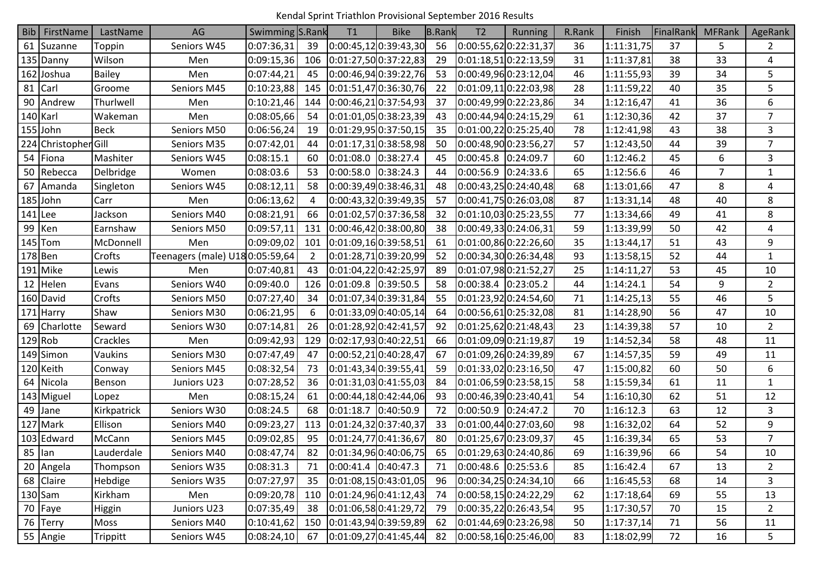Kendal Sprint Triathlon Provisional September 2016 Results

| Bib              | FirstName            | LastName      | AG                             | Swimming S.Rank |                | T1                     | <b>Bike</b>               | <b>B.Rank</b> | T <sub>2</sub>        | <b>Running</b>        | R.Rank | Finish     | FinalRank | <b>MFRank</b> | AgeRank        |
|------------------|----------------------|---------------|--------------------------------|-----------------|----------------|------------------------|---------------------------|---------------|-----------------------|-----------------------|--------|------------|-----------|---------------|----------------|
|                  | 61 Suzanne           | Toppin        | Seniors W45                    | 0:07:36,31      | 39             |                        | 0:00:45,12 0:39:43,30     | 56            | 0:00:55,620:22:31,37  |                       | 36     | 1:11:31,75 | 37        | 5             | $\overline{2}$ |
|                  | 135 Danny            | Wilson        | Men                            | 0:09:15,36      | 106            |                        | $[0:01:27,50]$ 0:37:22,83 | 29            |                       | 0:01:18,510:22:13,59  | 31     | 1:11:37,81 | 38        | 33            | 4              |
|                  | 162 Joshua           | <b>Bailey</b> | Men                            | 0:07:44,21      | 45             |                        | 0:00:46,94 0:39:22,76     | 53            |                       | 0:00:49,960:23:12,04  | 46     | 1:11:55,93 | 39        | 34            | 5              |
|                  | 81 Carl              | Groome        | Seniors M45                    | 0:10:23,88      | 145            |                        | 0:01:51,47 0:36:30,76     | 22            |                       | 0:01:09,110:22:03,98  | 28     | 1:11:59,22 | 40        | 35            | 5              |
|                  | 90 Andrew            | Thurlwell     | Men                            | 0:10:21,46      | 144            |                        | 0:00:46,210:37:54,93      | 37            |                       | 0:00:49,990:22:23,86  | 34     | 1:12:16,47 | 41        | 36            | 6              |
| 140 Karl         |                      | Wakeman       | Men                            | 0:08:05,66      | 54             |                        | 0:01:01,05 0:38:23,39     | 43            |                       | 0:00:44,940:24:15,29  | 61     | 1:12:30,36 | 42        | 37            | $\overline{7}$ |
|                  | $155$ John           | <b>Beck</b>   | Seniors M50                    | 0:06:56,24      | 19             | 0:01:29,95 0:37:50,15  |                           | 35            | 0:01:00,220:25:25,40  |                       | 78     | 1:12:41,98 | 43        | 38            | 3              |
|                  | 224 Christopher Gill |               | Seniors M35                    | 0:07:42,01      | 44             |                        | 0:01:17,31 0:38:58,98     | 50            | 0:00:48,90 0:23:56,27 |                       | 57     | 1:12:43,50 | 44        | 39            | $\overline{7}$ |
|                  | 54 Fiona             | Mashiter      | Seniors W45                    | 0:08:15.1       | 60             | 0:01:08.0 0:38:27.4    |                           | 45            | 0:00:45.8 0:24:09.7   |                       | 60     | 1:12:46.2  | 45        | 6             | 3              |
|                  | 50 Rebecca           | Delbridge     | Women                          | 0:08:03.6       | 53             | 0:00:58.0 0:38:24.3    |                           | 44            | $0:00:56.9$ 0:24:33.6 |                       | 65     | 1:12:56.6  | 46        | 7             | $\mathbf{1}$   |
|                  | 67 Amanda            | Singleton     | Seniors W45                    | 0:08:12,11      | 58             | 0:00:39,49 0:38:46,31  |                           | 48            | 0:00:43,250:24:40,48  |                       | 68     | 1:13:01,66 | 47        | 8             | 4              |
|                  | $185$ John           | Carr          | Men                            | 0:06:13,62      | 4              | 0:00:43,32 0:39:49,35  |                           | 57            |                       | 0:00:41,750:26:03,08  | 87     | 1:13:31,14 | 48        | 40            | 8              |
| $141$ Lee        |                      | Jackson       | Seniors M40                    | 0:08:21,91      | 66             |                        | 0:01:02,57 0:37:36,58     | 32            |                       | 0:01:10,03 0:25:23,55 | 77     | 1:13:34,66 | 49        | 41            | 8              |
|                  | 99 Ken               | Earnshaw      | Seniors M50                    | 0:09:57,11      | 131            |                        | [0:00:46,42]0:38:00,80]   | 38            | 0:00:49,330:24:06,31  |                       | 59     | 1:13:39,99 | 50        | 42            | $\overline{4}$ |
|                  | $145$ Tom            | McDonnell     | Men                            | 0:09:09,02      | 101            | 0:01:09,16 0:39:58,51  |                           | 61            | 0:01:00,860:22:26,60  |                       | 35     | 1:13:44,17 | 51        | 43            | 9              |
| $178$ Ben        |                      | Crofts        | Teenagers (male) U180:05:59,64 |                 | $\overline{2}$ |                        | 0:01:28,710:39:20,99      | 52            |                       | 0:00:34,300:26:34,48  | 93     | 1:13:58,15 | 52        | 44            | $\mathbf{1}$   |
|                  | 191 Mike             | Lewis         | Men                            | 0:07:40,81      | 43             | 0:01:04,22 0:42:25,97  |                           | 89            |                       | 0:01:07,980:21:52,27  | 25     | 1:14:11,27 | 53        | 45            | 10             |
|                  | 12 Helen             | Evans         | Seniors W40                    | 0:09:40.0       | 126            | $0:01:09.8$ 0:39:50.5  |                           | 58            | $0:00:38.4$ 0:23:05.2 |                       | 44     | 1:14:24.1  | 54        | 9             | $\overline{2}$ |
|                  | 160 David            | Crofts        | Seniors M50                    | 0:07:27,40      | 34             |                        | $[0:01:07,34]$ 0:39:31,84 | 55            |                       | 0:01:23,92 0:24:54,60 | 71     | 1:14:25,13 | 55        | 46            | 5              |
|                  | 171 Harry            | Shaw          | Seniors M30                    | 0:06:21,95      | 6              |                        | 0:01:33,09 0:40:05,14     | 64            |                       | 0:00:56,610:25:32,08  | 81     | 1:14:28,90 | 56        | 47            | 10             |
|                  | 69 Charlotte         | Seward        | Seniors W30                    | 0:07:14,81      | 26             |                        | 0:01:28,92 0:42:41,57     | 92            | 0:01:25,620:21:48,43  |                       | 23     | 1:14:39,38 | 57        | 10            | $\overline{2}$ |
|                  | $129$ Rob            | Crackles      | Men                            | 0:09:42,93      | 129            | 0:02:17,93 0:40:22,51  |                           | 66            | 0:01:09,090:21:19,87  |                       | 19     | 1:14:52,34 | 58        | 48            | 11             |
|                  | 149 Simon            | Vaukins       | Seniors M30                    | 0:07:47,49      | 47             |                        | 0:00:52,210:40:28,47      | 67            |                       | 0:01:09,260:24:39,89  | 67     | 1:14:57,35 | 59        | 49            | 11             |
|                  | 120 Keith            | Conway        | Seniors M45                    | 0:08:32,54      | 73             | 0:01:43,34 0:39:55,41  |                           | 59            |                       | 0:01:33,020:23:16,50  | 47     | 1:15:00,82 | 60        | 50            | 6              |
|                  | 64 Nicola            | Benson        | Juniors U23                    | 0:07:28,52      | 36             | [0:01:31,03]0:41:55,03 |                           | 84            | 0:01:06,59 0:23:58,15 |                       | 58     | 1:15:59,34 | 61        | 11            | $\mathbf{1}$   |
|                  | 143 Miguel           | Lopez         | Men                            | 0:08:15,24      | 61             |                        | 0:00:44,18 0:42:44,06     | 93            | 0:00:46,390:23:40,41  |                       | 54     | 1:16:10,30 | 62        | 51            | 12             |
|                  | 49 $\vert$ Jane      | Kirkpatrick   | Seniors W30                    | 0:08:24.5       | 68             | $0:01:18.7$ 0:40:50.9  |                           | 72            | $0:00:50.9$ 0:24:47.2 |                       | 70     | 1:16:12.3  | 63        | 12            | 3              |
|                  | 127 Mark             | Ellison       | Seniors M40                    | 0:09:23,27      | 113            | 0:01:24,32 0:37:40,37  |                           | 33            |                       | 0:01:00,44 0:27:03,60 | 98     | 1:16:32,02 | 64        | 52            | 9              |
|                  | 103 Edward           | McCann        | Seniors M45                    | 0:09:02,85      | 95             |                        | 0:01:24,77 0:41:36,67     | 80            |                       | 0:01:25,670:23:09,37  | 45     | 1:16:39,34 | 65        | 53            | $\overline{7}$ |
| $85$ $\vert$ lan |                      | Lauderdale    | Seniors M40                    | 0:08:47,74      | 82             |                        | $[0:01:34,96]$ 0:40:06,75 | 65            |                       | 0:01:29,630:24:40,86  | 69     | 1:16:39,96 | 66        | 54            | 10             |
|                  | 20 Angela            | Thompson      | Seniors W35                    | 0:08:31.3       | 71             | $0:00:41.4$ 0:40:47.3  |                           | 71            | $0:00:48.6$ 0:25:53.6 |                       | 85     | 1:16:42.4  | 67        | 13            | $\overline{2}$ |
|                  | 68 Claire            | Hebdige       | Seniors W35                    | 0:07:27,97      | 35             |                        | 0:01:08,15 0:43:01,05     | 96            | 0:00:34,25 0:24:34,10 |                       | 66     | 1:16:45,53 | 68        | 14            | 3              |
|                  | $130$ Sam            | Kirkham       | Men                            | 0:09:20,78      | 110            |                        | $[0:01:24,96]$ 0:41:12,43 | 74            | 0:00:58,150:24:22,29  |                       | 62     | 1:17:18,64 | 69        | 55            | 13             |
|                  | 70 Faye              | Higgin        | Juniors U23                    | 0:07:35,49      | 38             |                        | $[0:01:06,58]$ 0:41:29,72 | 79            | 0:00:35,220:26:43,54  |                       | 95     | 1:17:30,57 | 70        | 15            | $\overline{2}$ |
|                  | 76 Terry             | Moss          | Seniors M40                    | 0:10:41,62      | 150            |                        | 0:01:43,94 0:39:59,89     | 62            |                       | 0:01:44,690:23:26,98  | 50     | 1:17:37,14 | 71        | 56            | 11             |
|                  | 55 Angie             | Trippitt      | Seniors W45                    | 0:08:24,10      | 67             |                        | 0:01:09,27 0:41:45,44     | 82            | 0:00:58,160:25:46,00  |                       | 83     | 1:18:02,99 | 72        | 16            | 5              |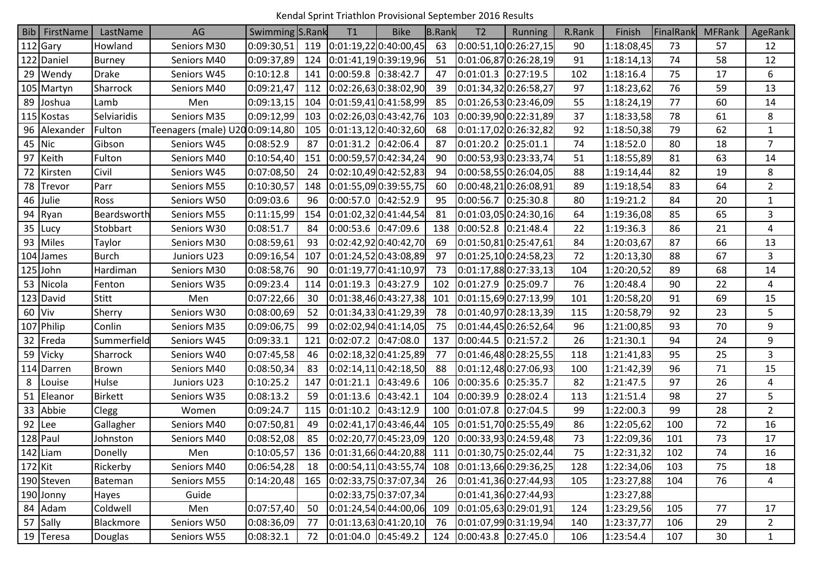Kendal Sprint Triathlon Provisional September 2016 Results

|           | Bib FirstName | LastName       | AG                             | Swimming S.Rank |     | T1                    | <b>Bike</b>                            | <b>B.Rank</b> | T <sub>2</sub>                                         | Running                 | R.Rank | Finish     | FinalRank | <b>MFRank</b> | AgeRank        |
|-----------|---------------|----------------|--------------------------------|-----------------|-----|-----------------------|----------------------------------------|---------------|--------------------------------------------------------|-------------------------|--------|------------|-----------|---------------|----------------|
|           | $112$ Gary    | Howland        | Seniors M30                    | 0:09:30,51      | 119 |                       | [0:01:19,22]0:40:00,45]                | 63            |                                                        | 0:00:51,100:26:27,15    | 90     | 1:18:08,45 | 73        | 57            | 12             |
|           | 122 Daniel    | <b>Burney</b>  | Seniors M40                    | 0:09:37,89      | 124 |                       | 0:01:41,19 0:39:19,96                  | 51            |                                                        | 0:01:06,870:26:28,19    | 91     | 1:18:14,13 | 74        | 58            | 12             |
|           | 29 Wendy      | Drake          | Seniors W45                    | 0:10:12.8       | 141 | 0:00:59.8 0:38:42.7   |                                        | 47            | $0:01:01.3$ 0:27:19.5                                  |                         | 102    | 1:18:16.4  | 75        | 17            | 6              |
|           | 105 Martyn    | Sharrock       | Seniors M40                    | 0:09:21,47      | 112 |                       | $[0:02:26,63]$ 0:38:02,90              | 39            |                                                        | 0:01:34,320:26:58,27    | 97     | 1:18:23,62 | 76        | 59            | 13             |
| 89        | Joshua        | Lamb           | Men                            | 0:09:13,15      | 104 |                       | 0:01:59,41 0:41:58,99                  | 85            |                                                        | 0:01:26,530:23:46,09    | 55     | 1:18:24,19 | 77        | 60            | 14             |
|           | 115 Kostas    | Selviaridis    | Seniors M35                    | 0:09:12,99      | 103 |                       | 0:02:26,03 0:43:42,76                  | 103           |                                                        | 0:00:39,90 0:22:31,89   | 37     | 1:18:33,58 | 78        | 61            | 8              |
|           | 96 Alexander  | Fulton         | Teenagers (male) U200:09:14,80 |                 | 105 |                       | 0:01:13,12 0:40:32,60                  | 68            |                                                        | 0:01:17,020:26:32,82    | 92     | 1:18:50,38 | 79        | 62            | $\mathbf{1}$   |
| 45        | Nic           | Gibson         | Seniors W45                    | 0:08:52.9       | 87  | 0:01:31.2 0:42:06.4   |                                        | 87            | $0:01:20.2$ 0:25:01.1                                  |                         | 74     | 1:18:52.0  | 80        | 18            | 7              |
| 97        | Keith         | Fulton         | Seniors M40                    | 0:10:54,40      | 151 |                       | 0:00:59,57 0:42:34,24                  | 90            |                                                        | 0:00:53,930:23:33,74    | 51     | 1:18:55,89 | 81        | 63            | 14             |
| 72        | Kirsten       | Civil          | Seniors W45                    | 0:07:08,50      | 24  |                       | 0:02:10,49 0:42:52,83                  | 94            |                                                        | 0:00:58,550:26:04,05    | 88     | 1:19:14,44 | 82        | 19            | 8              |
|           | 78 Trevor     | Parr           | Seniors M55                    | 0:10:30,57      | 148 | 0:01:55,09 0:39:55,75 |                                        | 60            |                                                        | 0:00:48,210:26:08,91    | 89     | 1:19:18,54 | 83        | 64            | $\overline{2}$ |
| 46        | Julie         | Ross           | Seniors W50                    | 0:09:03.6       | 96  | 0:00:57.0 0:42:52.9   |                                        | 95            | $0:00:56.7$ 0:25:30.8                                  |                         | 80     | 1:19:21.2  | 84        | 20            | $\mathbf{1}$   |
| 94        | Ryan          | Beardsworth    | Seniors M55                    | 0:11:15,99      | 154 |                       | 0:01:02,32 0:41:44,54                  | 81            |                                                        | 0:01:03,050:24:30,16    | 64     | 1:19:36,08 | 85        | 65            | 3              |
|           | 35 Lucy       | Stobbart       | Seniors W30                    | 0:08:51.7       | 84  | 0:00:53.6 0:47:09.6   |                                        | 138           | $0:00:52.8$ 0:21:48.4                                  |                         | 22     | 1:19:36.3  | 86        | 21            | 4              |
| 93        | Miles         | Taylor         | Seniors M30                    | 0:08:59,61      | 93  |                       | 0:02:42,92 0:40:42,70                  | 69            |                                                        | 0:01:50,810:25:47,61    | 84     | 1:20:03,67 | 87        | 66            | 13             |
|           | 104 James     | <b>Burch</b>   | Juniors U23                    | 0:09:16,54      | 107 |                       | 0:01:24,52 0:43:08,89                  | 97            |                                                        | 0:01:25,100:24:58,23    | 72     | 1:20:13,30 | 88        | 67            | 3              |
|           | $125$ John    | Hardiman       | Seniors M30                    | 0:08:58,76      | 90  | 0:01:19,77 0:41:10,97 |                                        | 73            |                                                        | 0:01:17,880:27:33,13    | 104    | 1:20:20,52 | 89        | 68            | 14             |
|           | 53 Nicola     | Fenton         | Seniors W35                    | 0:09:23.4       | 114 | 0:01:19.3 0:43:27.9   |                                        | 102           | $0:01:27.9$ 0:25:09.7                                  |                         | 76     | 1:20:48.4  | 90        | 22            | 4              |
|           | 123 David     | <b>Stitt</b>   | Men                            | 0:07:22,66      | 30  |                       | 0:01:38,46 0:43:27,38                  | 101           |                                                        | 0:01:15,69 0:27:13,99   | 101    | 1:20:58,20 | 91        | 69            | 15             |
| $60$ Viv  |               | Sherry         | Seniors W30                    | 0:08:00,69      | 52  |                       | 0:01:34,33 0:41:29,39                  | 78            |                                                        | 0:01:40,970:28:13,39    | 115    | 1:20:58,79 | 92        | 23            | 5              |
|           | 107 Philip    | Conlin         | Seniors M35                    | 0:09:06,75      | 99  | 0:02:02,94 0:41:14,05 |                                        | 75            |                                                        | 0:01:44,450:26:52,64    | 96     | 1:21:00,85 | 93        | 70            | 9              |
| 32        | Freda         | Summerfield    | Seniors W45                    | 0:09:33.1       | 121 | 0:02:07.2 0:47:08.0   |                                        | 137           | $0:00:44.5$ 0:21:57.2                                  |                         | 26     | 1:21:30.1  | 94        | 24            | 9              |
|           | 59 Vicky      | Sharrock       | Seniors W40                    | 0:07:45,58      | 46  | 0:02:18,32 0:41:25,89 |                                        | 77            |                                                        | 0:01:46,480:28:25,55    | 118    | 1:21:41,83 | 95        | 25            | 3              |
|           | 114 Darren    | Brown          | Seniors M40                    | 0:08:50,34      | 83  |                       | 0:02:14,11 0:42:18,50                  | 88            |                                                        | 0:01:12,48 0:27:06,93   | 100    | 1:21:42,39 | 96        | 71            | 15             |
| 8         | Louise        | Hulse          | Juniors U23                    | 0:10:25.2       | 147 | 0:01:21.1 0:43:49.6   |                                        | 106           | 0:00:35.6 0:25:35.7                                    |                         | 82     | 1:21:47.5  | 97        | 26            | 4              |
| 51        | Eleanor       | <b>Birkett</b> | Seniors W35                    | 0:08:13.2       | 59  | 0:01:13.6 0:43:42.1   |                                        | 104           | 0:00:39.9                                              | 0:28:02.4               | 113    | 1:21:51.4  | 98        | 27            | 5              |
| 33        | Abbie         | Clegg          | Women                          | 0:09:24.7       | 115 | 0:01:10.2 0:43:12.9   |                                        | 100           | 0:01:07.8                                              | 0:27:04.5               | 99     | 1:22:00.3  | 99        | 28            | $\overline{2}$ |
|           | 92 $ $ Lee    | Gallagher      | Seniors M40                    | 0:07:50,81      | 49  |                       | 0:02:41,17 0:43:46,44                  | 105           |                                                        | 0:01:51,700:25:55,49    | 86     | 1:22:05,62 | 100       | 72            | 16             |
|           | 128 Paul      | Johnston       | Seniors M40                    | 0:08:52,08      | 85  |                       | 0:02:20,770:45:23,09                   | 120           |                                                        | 0:00:33,930:24:59,48    | 73     | 1:22:09,36 | 101       | 73            | 17             |
|           | 142 Liam      | Donelly        | Men                            | 0:10:05,57      | 136 |                       | $[0:01:31,66]$ 0:44:20,88              | 111           |                                                        | 0:01:30,750:25:02,44    | 75     | 1:22:31,32 | 102       | 74            | 16             |
| $172$ Kit |               | Rickerby       | Seniors M40                    | 0:06:54,28      | 18  |                       |                                        |               | $[0:00:54,11]0:43:55,74$ 108 $[0:01:13,66]0:29:36,25]$ |                         | 128    | 1:22:34,06 | 103       | 75            | 18             |
|           | 190 Steven    | Bateman        | Seniors M55                    | 0:14:20,48      | 165 |                       | $\left 0:02:33,75\right 0:37:07,34$ 26 |               |                                                        | 0:01:41,36 0:27:44,93   | 105    | 1:23:27,88 | 104       | 76            | 4              |
|           | 190 Jonny     | Hayes          | Guide                          |                 |     |                       | 0:02:33,750:37:07,34                   |               |                                                        | 0:01:41,36 0:27:44,93   |        | 1:23:27,88 |           |               |                |
|           | 84 Adam       | Coldwell       | Men                            | 0:07:57,40      | 50  |                       | $[0:01:24,54]0:44:00,06$ 109           |               |                                                        | [0:01:05,63]0:29:01,91] | 124    | 1:23:29,56 | 105       | 77            | 17             |
|           | 57 Sally      | Blackmore      | Seniors W50                    | 0:08:36,09      | 77  |                       | 0:01:13,630:41:20,10                   | 76            |                                                        | 0:01:07,99 0:31:19,94   | 140    | 1:23:37,77 | 106       | 29            | $\overline{2}$ |
|           | 19 Teresa     | Douglas        | Seniors W55                    | 0:08:32.1       | 72  | $0:01:04.0$ 0:45:49.2 |                                        |               | 124 0:00:43.8 0:27:45.0                                |                         | 106    | 1:23:54.4  | 107       | 30            | $\mathbf{1}$   |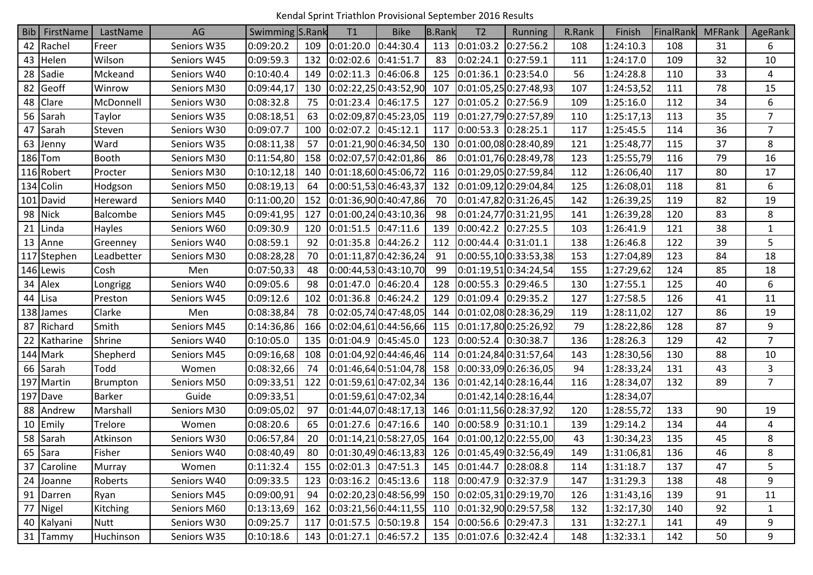Kendal Sprint Triathlon Provisional September 2016 Results

|    | <b>Bib</b> FirstName | LastName      | AG          | Swimming S.Rank |     | T1                    | <b>Bike</b>             | <b>B.Rank</b> | T <sub>2</sub>          | <b>Running</b>           | R.Rank | Finish     | FinalRank | <b>MFRank</b> | AgeRank        |
|----|----------------------|---------------|-------------|-----------------|-----|-----------------------|-------------------------|---------------|-------------------------|--------------------------|--------|------------|-----------|---------------|----------------|
|    | 42 Rachel            | Freer         | Seniors W35 | 0:09:20.2       | 109 | 0:01:20.0             | 0:44:30.4               | 113           | 0:01:03.2               | 0:27:56.2                | 108    | 1:24:10.3  | 108       | 31            | 6              |
|    | 43 Helen             | Wilson        | Seniors W45 | 0:09:59.3       | 132 | 0:02:02.6 0:41:51.7   |                         | 83            | 0:02:24.1               | 0:27:59.1                | 111    | 1:24:17.0  | 109       | 32            | 10             |
| 28 | Sadie                | Mckeand       | Seniors W40 | 0:10:40.4       | 149 | 0:02:11.3 0:46:06.8   |                         | 125           | 0:01:36.1               | 0:23:54.0                | 56     | 1:24:28.8  | 110       | 33            | 4              |
| 82 | Geoff                | Winrow        | Seniors M30 | 0:09:44,17      | 130 |                       | 0:02:22,25 0:43:52,90   | 107           |                         | 0:01:05,25 0:27:48,93    | 107    | 1:24:53,52 | 111       | 78            | 15             |
| 48 | <b>Clare</b>         | McDonnell     | Seniors W30 | 0:08:32.8       | 75  | 0:01:23.4 0:46:17.5   |                         | 127           | $0:01:05.2$ 0:27:56.9   |                          | 109    | 1:25:16.0  | 112       | 34            | 6              |
|    | 56 Sarah             | Taylor        | Seniors W35 | 0:08:18,51      | 63  | 0:02:09,870:45:23,05  |                         | 119           |                         | 0:01:27,790:27:57,89     | 110    | 1:25:17,13 | 113       | 35            | $\overline{7}$ |
| 47 | Sarah                | Steven        | Seniors W30 | 0:09:07.7       | 100 | 0:02:07.2 0:45:12.1   |                         | 117           | 0:00:53.3 0:28:25.1     |                          | 117    | 1:25:45.5  | 114       | 36            | $\overline{7}$ |
| 63 | Jenny                | Ward          | Seniors W35 | 0:08:11,38      | 57  |                       | 0:01:21,90 0:46:34,50   | 130           |                         | 0:01:00,08 0:28:40,89    | 121    | 1:25:48,77 | 115       | 37            | 8              |
|    | $186$ Tom            | <b>Booth</b>  | Seniors M30 | 0:11:54,80      | 158 |                       | 0:02:07,57 0:42:01,86   | 86            |                         | 0:01:01,760:28:49,78     | 123    | 1:25:55,79 | 116       | 79            | 16             |
|    | 116 Robert           | Procter       | Seniors M30 | 0:10:12,18      | 140 |                       | 0:01:18,60 0:45:06,72   | 116           |                         | 0:01:29,050:27:59,84     | 112    | 1:26:06,40 | 117       | 80            | 17             |
|    | 134 Colin            | Hodgson       | Seniors M50 | 0:08:19,13      | 64  |                       | 0:00:51,53 0:46:43,37   | 132           |                         | 0:01:09,120:29:04,84     | 125    | 1:26:08,01 | 118       | 81            | 6              |
|    | 101 David            | Hereward      | Seniors M40 | 0:11:00,20      | 152 |                       | 0:01:36,90 0:40:47,86   | 70            |                         | 0:01:47,820:31:26,45     | 142    | 1:26:39,25 | 119       | 82            | 19             |
|    | 98 Nick              | Balcombe      | Seniors M45 | 0:09:41,95      | 127 |                       | 0:01:00,24 0:43:10,36   | 98            |                         | 0:01:24,770:31:21,95     | 141    | 1:26:39,28 | 120       | 83            | 8              |
| 21 | Linda                | <b>Hayles</b> | Seniors W60 | 0:09:30.9       | 120 | 0:01:51.5 0:47:11.6   |                         | 139           | 0:00:42.2               | 0:27:25.5                | 103    | 1:26:41.9  | 121       | 38            | $\mathbf{1}$   |
|    | 13 Anne              | Greenney      | Seniors W40 | 0:08:59.1       | 92  | 0:01:35.8 0:44:26.2   |                         | 112           | 0:00:44.4               | 0:31:01.1                | 138    | 1:26:46.8  | 122       | 39            | 5              |
|    | 117 Stephen          | Leadbetter    | Seniors M30 | 0:08:28,28      | 70  |                       | 0:01:11,87 0:42:36,24   | 91            |                         | 0:00:55,100:33:53,38     | 153    | 1:27:04,89 | 123       | 84            | 18             |
|    | 146 Lewis            | Cosh          | Men         | 0:07:50,33      | 48  |                       | 0:00:44,53 0:43:10,70   | 99            |                         | 0:01:19,510:34:24,54     | 155    | 1:27:29,62 | 124       | 85            | 18             |
|    | 34 Alex              | Longrigg      | Seniors W40 | 0:09:05.6       | 98  | 0:01:47.0 0:46:20.4   |                         | 128           | 0:00:55.3               | 0:29:46.5                | 130    | 1:27:55.1  | 125       | 40            | 6              |
|    | 44 Lisa              | Preston       | Seniors W45 | 0:09:12.6       | 102 | 0:01:36.8 0:46:24.2   |                         | 129           | 0:01:09.4               | 0:29:35.2                | 127    | 1:27:58.5  | 126       | 41            | 11             |
|    | 138 James            | Clarke        | Men         | 0:08:38,84      | 78  | 0:02:05,74 0:47:48,05 |                         | 144           |                         | 0:01:02,080:28:36,29     | 119    | 1:28:11,02 | 127       | 86            | 19             |
|    | 87 Richard           | Smith         | Seniors M45 | 0:14:36,86      | 166 |                       | 0:02:04,610:44:56,66    | 115           |                         | 0:01:17,80 0:25:26,92    | 79     | 1:28:22,86 | 128       | 87            | 9              |
| 22 | Katharine            | Shrine        | Seniors W40 | 0:10:05.0       | 135 | 0:01:04.9 0:45:45.0   |                         | 123           | 0:00:52.4               | 0:30:38.7                | 136    | 1:28:26.3  | 129       | 42            | $\overline{7}$ |
|    | 144 Mark             | Shepherd      | Seniors M45 | 0:09:16,68      | 108 |                       | 0:01:04,92 0:44:46,46   | 114           |                         | 0:01:24,840:31:57,64     | 143    | 1:28:30,56 | 130       | 88            | 10             |
|    | 66 Sarah             | Todd          | Women       | 0:08:32,66      | 74  |                       | 0:01:46,64 0:51:04,78   | 158           |                         | 0:00:33,090:26:36,05     | 94     | 1:28:33,24 | 131       | 43            | 3              |
|    | 197 Martin           | Brumpton      | Seniors M50 | 0:09:33,51      | 122 |                       | [0:01:59,61]0:47:02,34] | 136           |                         | 0:01:42,140:28:16,44     | 116    | 1:28:34,07 | 132       | 89            | $\overline{7}$ |
|    | 197 Dave             | <b>Barker</b> | Guide       | 0:09:33,51      |     |                       | 0:01:59,610:47:02,34    |               |                         | 0:01:42,140:28:16,44     |        | 1:28:34,07 |           |               |                |
|    | 88 Andrew            | Marshall      | Seniors M30 | 0:09:05,02      | 97  |                       | 0:01:44,07 0:48:17,13   | 146           |                         | 0:01:11,560:28:37,92     | 120    | 1:28:55,72 | 133       | 90            | 19             |
|    | 10 Emily             | Trelore       | Women       | 0:08:20.6       | 65  | 0:01:27.6 0:47:16.6   |                         | 140           | 0:00:58.9 0:31:10.1     |                          | 139    | 1:29:14.2  | 134       | 44            | 4              |
|    | 58 Sarah             | Atkinson      | Seniors W30 | 0:06:57,84      | 20  |                       | [0:01:14,21]0:58:27,05  | 164           |                         | 0:01:00,120:22:55,00     | 43     | 1:30:34,23 | 135       | 45            | 8              |
|    | 65 Sara              | Fisher        | Seniors W40 | 0:08:40,49      | 80  |                       | [0:01:30,49]0:46:13,83] | 126           |                         | 0:01:45,490:32:56,49     | 149    | 1:31:06,81 | 136       | 46            | 8              |
|    | 37 Caroline          | Murray        | Women       | 0:11:32.4       | 155 | $0:02:01.3$ 0:47:51.3 |                         | 145           | $0:01:44.7$ 0:28:08.8   |                          | 114    | 1:31:18.7  | 137       | 47            | 5              |
|    | 24 Joanne            | Roberts       | Seniors W40 | 0:09:33.5       | 123 | $0:03:16.2$ 0:45:13.6 |                         | 118           | $0:00:47.9$ 0:32:37.9   |                          | 147    | 1:31:29.3  | 138       | 48            | 9              |
|    | 91 Darren            | Ryan          | Seniors M45 | 0:09:00,91      | 94  |                       | 0:02:20,23 0:48:56,99   |               |                         | 150 0:02:05,310:29:19,70 | 126    | 1:31:43,16 | 139       | 91            | 11             |
|    | 77 Nigel             | Kitching      | Seniors M60 | 0:13:13,69      | 162 |                       | [0:03:21,56]0:44:11,55] | 110           |                         | 0:01:32,900:29:57,58     | 132    | 1:32:17,30 | 140       | 92            | $\mathbf{1}$   |
|    | 40 Kalyani           | <b>Nutt</b>   | Seniors W30 | 0:09:25.7       | 117 | $0:01:57.5$ 0:50:19.8 |                         | 154           | $0:00:56.6$ 0:29:47.3   |                          | 131    | 1:32:27.1  | 141       | 49            | 9              |
|    | 31 Tammy             | Huchinson     | Seniors W35 | 0:10:18.6       | 143 | $0:01:27.1$ 0:46:57.2 |                         |               | 135 0:01:07.6 0:32:42.4 |                          | 148    | 1:32:33.1  | 142       | 50            | 9              |